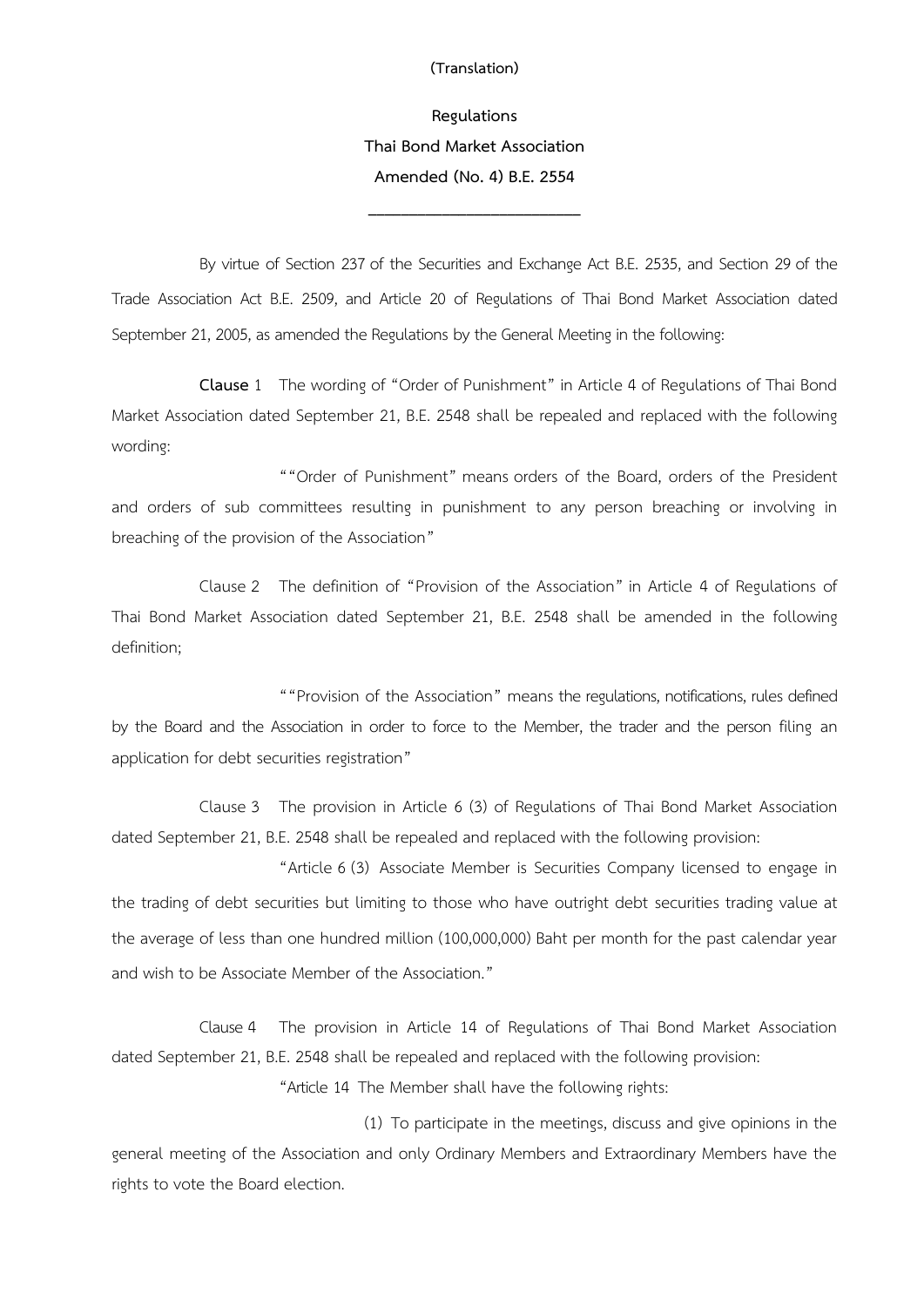## **(Translation)**

## **Regulations Thai Bond Market Association Amended (No. 4) B.E. 2554**

**\_\_\_\_\_\_\_\_\_\_\_\_\_\_\_\_\_\_\_\_\_\_\_\_\_\_**

By virtue of Section 237 of the Securities and Exchange Act B.E. 2535, and Section 29 of the Trade Association Act B.E. 2509, and Article 20 of Regulations of Thai Bond Market Association dated September 21, 2005, as amended the Regulations by the General Meeting in the following:

**Clause** 1 The wording of "Order of Punishment" in Article 4 of Regulations of Thai Bond Market Association dated September 21, B.E. 2548 shall be repealed and replaced with the following wording:

""Order of Punishment" means orders of the Board, orders of the President and orders of sub committees resulting in punishment to any person breaching or involving in breaching of the provision of the Association"

Clause 2 The definition of "Provision of the Association" in Article 4 of Regulations of Thai Bond Market Association dated September 21, B.E. 2548 shall be amended in the following definition;

""Provision of the Association" means the regulations, notifications, rules defined by the Board and the Association in order to force to the Member, the trader and the person filing an application for debt securities registration"

Clause 3 The provision in Article 6 (3) of Regulations of Thai Bond Market Association dated September 21, B.E. 2548 shall be repealed and replaced with the following provision:

"Article 6 (3) Associate Member is Securities Company licensed to engage in the trading of debt securities but limiting to those who have outright debt securities trading value at the average of less than one hundred million (100,000,000) Baht per month for the past calendar year and wish to be Associate Member of the Association."

Clause 4 The provision in Article 14 of Regulations of Thai Bond Market Association dated September 21, B.E. 2548 shall be repealed and replaced with the following provision:

"Article 14 The Member shall have the following rights:

(1) To participate in the meetings, discuss and give opinions in the general meeting of the Association and only Ordinary Members and Extraordinary Members have the rights to vote the Board election.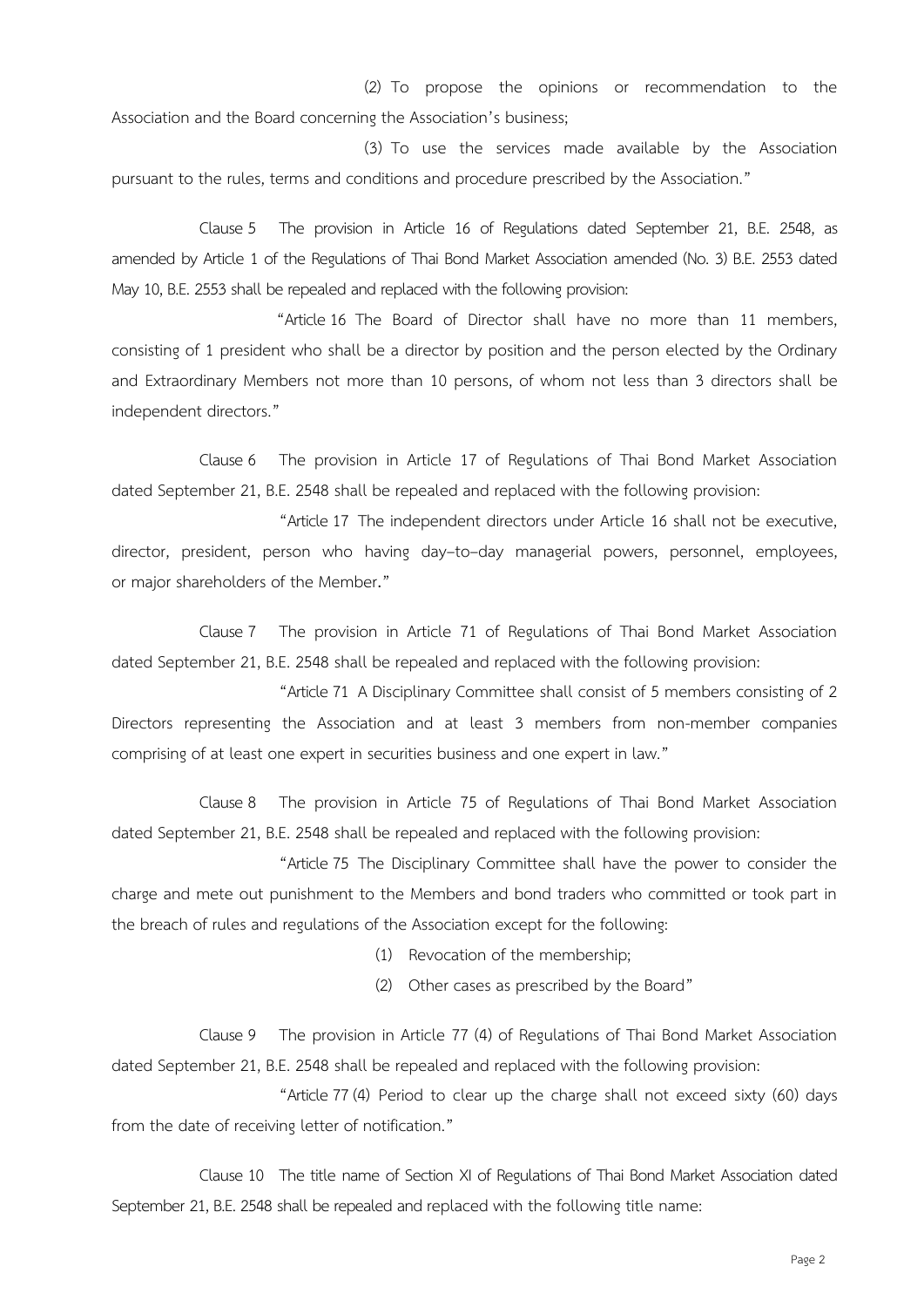(2) To propose the opinions or recommendation to the Association and the Board concerning the Association's business;

(3) To use the services made available by the Association pursuant to the rules, terms and conditions and procedure prescribed by the Association."

Clause 5 The provision in Article 16 of Regulations dated September 21, B.E. 2548, as amended by Article 1 of the Regulations of Thai Bond Market Association amended (No. 3) B.E. 2553 dated May 10, B.E. 2553 shall be repealed and replaced with the following provision:

"Article16 The Board of Director shall have no more than 11 members, consisting of 1 president who shall be a director by position and the person elected by the Ordinary and Extraordinary Members not more than 10 persons, of whom not less than 3 directors shall be independent directors."

Clause 6 The provision in Article 17 of Regulations of Thai Bond Market Association dated September 21, B.E. 2548 shall be repealed and replaced with the following provision:

"Article17 The independent directors under Article 16 shall not be executive, director, president, person who having day–to–day managerial powers, personnel, employees, or major shareholders of the Member."

Clause 7 The provision in Article 71 of Regulations of Thai Bond Market Association dated September 21, B.E. 2548 shall be repealed and replaced with the following provision:

"Article71 A Disciplinary Committee shall consist of 5 members consisting of 2 Directors representing the Association and at least 3 members from non-member companies comprising of at least one expert in securities business and one expert in law."

Clause 8 The provision in Article 75 of Regulations of Thai Bond Market Association dated September 21, B.E. 2548 shall be repealed and replaced with the following provision:

"Article75 The Disciplinary Committee shall have the power to consider the charge and mete out punishment to the Members and bond traders who committed or took part in the breach of rules and regulations of the Association except for the following:

(1) Revocation of the membership;

(2) Other cases as prescribed by the Board"

Clause 9 The provision in Article 77 (4) of Regulations of Thai Bond Market Association dated September 21, B.E. 2548 shall be repealed and replaced with the following provision:

"Article77 (4) Period to clear up the charge shall not exceed sixty (60) days from the date of receiving letter of notification."

Clause 10 The title name of Section XI of Regulations of Thai Bond Market Association dated September 21, B.E. 2548 shall be repealed and replaced with the following title name: